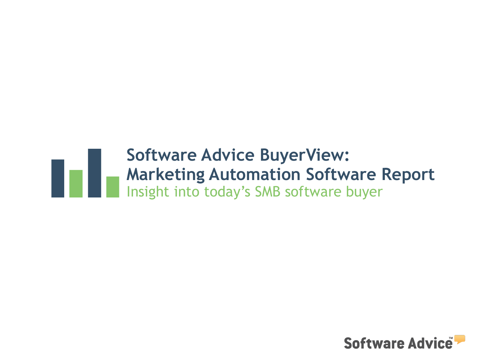# **Software Advice BuyerView: Marketing Automation Software Report** Insight into today's SMB software buyer

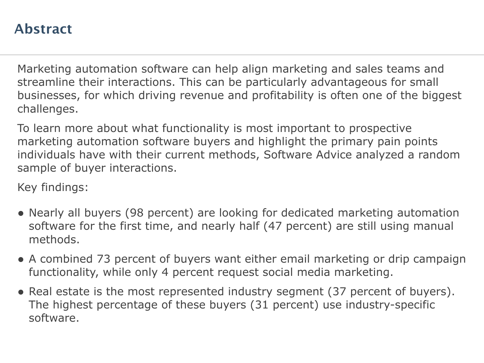## **Abstract**

Marketing automation software can help align marketing and sales teams and streamline their interactions. This can be particularly advantageous for small businesses, for which driving revenue and profitability is often one of the biggest challenges.

To learn more about what functionality is most important to prospective marketing automation software buyers and highlight the primary pain points individuals have with their current methods, Software Advice analyzed a random sample of buyer interactions.

Key findings:

- Nearly all buyers (98 percent) are looking for dedicated marketing automation software for the first time, and nearly half (47 percent) are still using manual methods.
- A combined 73 percent of buyers want either email marketing or drip campaign functionality, while only 4 percent request social media marketing.
- Real estate is the most represented industry segment (37 percent of buyers). The highest percentage of these buyers (31 percent) use industry-specific software.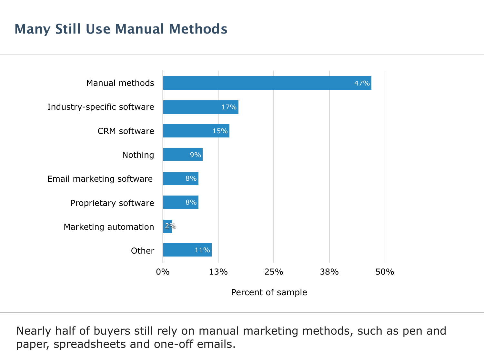## **Many Still Use Manual Methods**



Nearly half of buyers still rely on manual marketing methods, such as pen and paper, spreadsheets and one-off emails.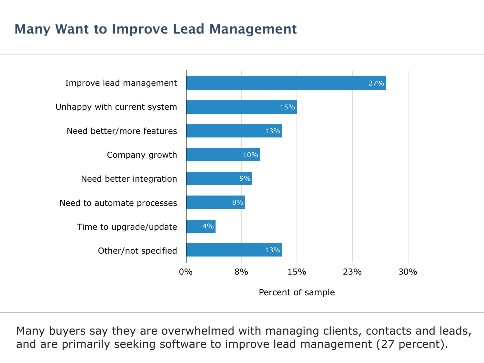## **Many Want to Improve Lead Management**



Many buyers say they are overwhelmed with managing clients, contacts and leads, and are primarily seeking software to improve lead management (27 percent).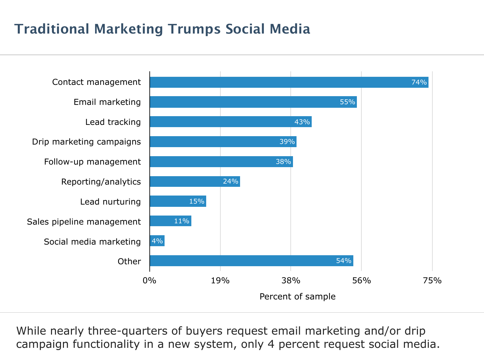## **Traditional Marketing Trumps Social Media**



While nearly three-quarters of buyers request email marketing and/or drip campaign functionality in a new system, only 4 percent request social media.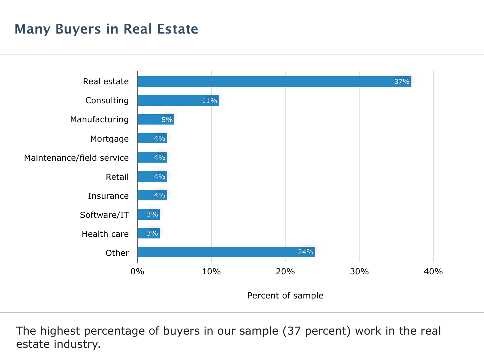## **Many Buyers in Real Estate**



The highest percentage of buyers in our sample (37 percent) work in the real estate industry.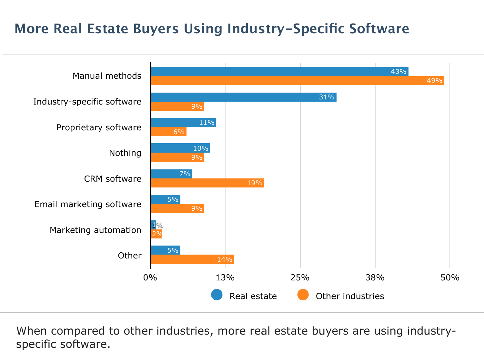## **More Real Estate Buyers Using Industry-Specific Software**



When compared to other industries, more real estate buyers are using industryspecific software.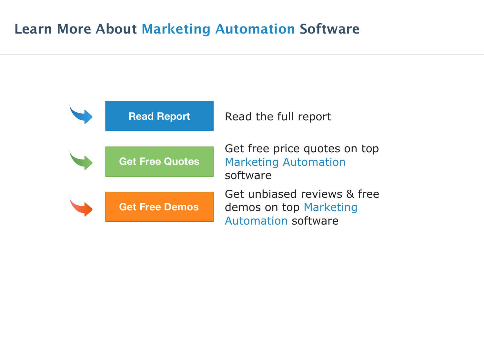### **Learn More About Marketing Automation Software**